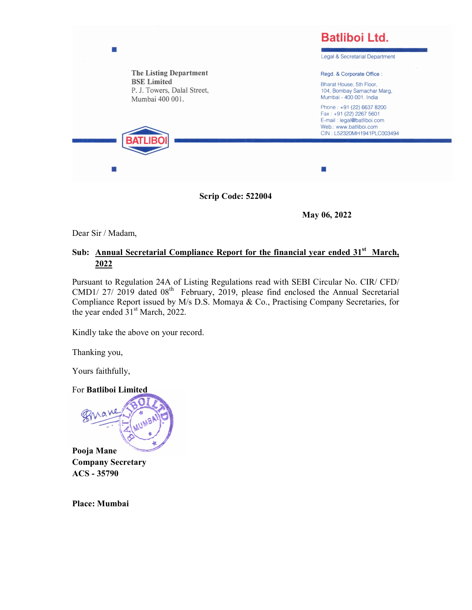

May 06, 2022

Dear Sir / Madam,

## Sub: Annual Secretarial Compliance Report for the financial year ended 31<sup>st</sup> March, 2022

Pursuant to Regulation 24A of Listing Regulations read with SEBI Circular No. CIR/ CFD/ CMD1/ 27/ 2019 dated 08th February, 2019, please find enclosed the Annual Secretarial Compliance Report issued by M/s D.S. Momaya & Co., Practising Company Secretaries, for the year ended  $31<sup>st</sup>$  March, 2022.

Kindly take the above on your record.

Thanking you,

Yours faithfully,

For Batliboi Limited



Company Secretary ACS - 35790

Place: Mumbai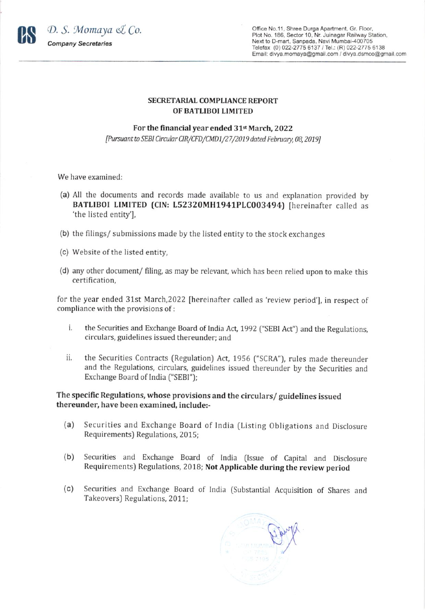

Office No.11, Shree Durga Apartment, Gr. Floor, Plot No. 186, Sector 10, Nr. Juinagar Railway Station, Next to D-mart, Sanpada, Navi Mumbai-400705 Telefax (0) 022-2775 6137 / Tel.: (R) 022-2775 6138 Email: divya.momaya@gmail.com / divya.dsmco@gmail.com

## SECRETARIAL COMPLIANCE REPORT OF BATLIBOI LIMITED

## For the financial year ended 31<sup>st</sup> March, 2022

[Pursuant to SEBI Circular CIR/CFD/CMD1/27/2019 dated February, 08, 2019]

We have examined:

- (a) All the documents and records made available to us and explanation provided by BATLIBOI LIMITED (CIN: L52320MH1941PLC003494) [hereinafter called as 'the listed entity'],
- (b) the filings/ submissions made by the listed entity to the stock exchanges
- (c) Website of the listed entity,
- (d) any other document/ filing, as may be relevant, which has been relied upon to make this certification,

for the year ended 31st March,2022 [hereinafter called as 'review period'], in respect of compliance with the provisions of:

- the Securities and Exchange Board of India Act, 1992 ("SEBI Act") and the Regulations, circulars, guidelines issued thereunder; and i.
- ii. the Securities Contracts (Regulation) Act, 1956 ("SCRA"), rules made thereunder and the Regulations, circulars, guidelines issued thereunder by the Securities and Exchange Board of India ("SEBI");

## The specific Regulations, whose provisions and the circulars/ guidelines issued thereunder, have been examined, includer

- (a) Securities and Exchange Board of lndia (Listing Obligations and Disclosure Requirements) Regulations, 2015;
- (b) Securities and Exchange Board of India (lssue of Capital and Disclosure Requirements) Regulations, 2018; Not Applicable during the review period
- (c) Securities and Exchange Board of India (substantial Acquisition of Shares and Takeovers) Regulations, 2011;